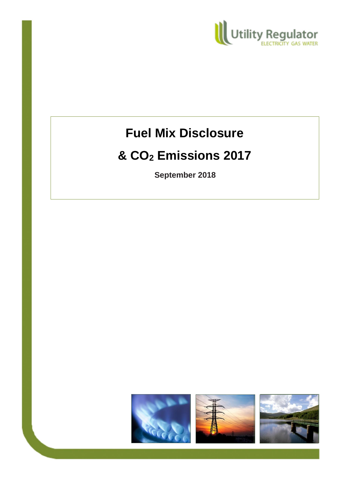

# **Fuel Mix Disclosure**

## **& CO<sup>2</sup> Emissions 2017**

**September 2018**

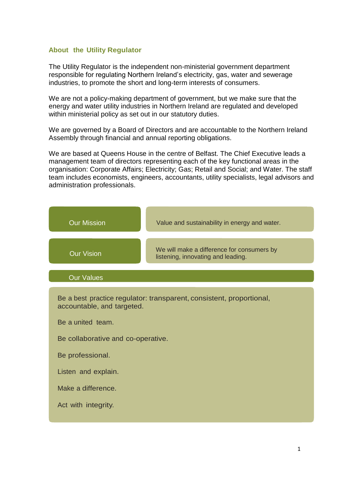#### **About the Utility Regulator**

The Utility Regulator is the independent non-ministerial government department responsible for regulating Northern Ireland's electricity, gas, water and sewerage industries, to promote the short and long-term interests of consumers.

We are not a policy-making department of government, but we make sure that the energy and water utility industries in Northern Ireland are regulated and developed within ministerial policy as set out in our statutory duties.

We are governed by a Board of Directors and are accountable to the Northern Ireland Assembly through financial and annual reporting obligations.

We are based at Queens House in the centre of Belfast. The Chief Executive leads a management team of directors representing each of the key functional areas in the organisation: Corporate Affairs; Electricity; Gas; Retail and Social; and Water. The staff team includes economists, engineers, accountants, utility specialists, legal advisors and administration professionals.

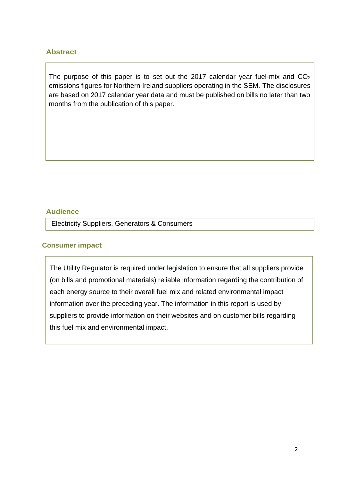#### **Abstract**

The purpose of this paper is to set out the 2017 calendar year fuel-mix and  $CO<sub>2</sub>$ emissions figures for Northern Ireland suppliers operating in the SEM. The disclosures are based on 2017 calendar year data and must be published on bills no later than two months from the publication of this paper.

#### **Audience**

Electricity Suppliers, Generators & Consumers

#### **Consumer impact**

The Utility Regulator is required under legislation to ensure that all suppliers provide (on bills and promotional materials) reliable information regarding the contribution of each energy source to their overall fuel mix and related environmental impact information over the preceding year. The information in this report is used by suppliers to provide information on their websites and on customer bills regarding this fuel mix and environmental impact.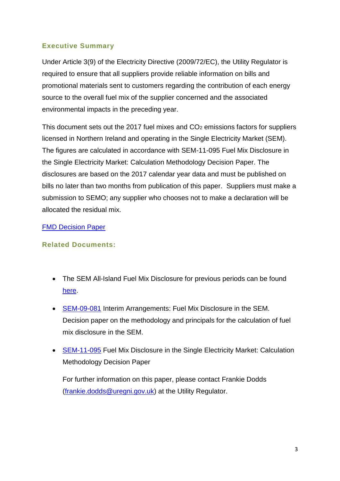### **Executive Summary**

Under Article 3(9) of the Electricity Directive (2009/72/EC), the Utility Regulator is required to ensure that all suppliers provide reliable information on bills and promotional materials sent to customers regarding the contribution of each energy source to the overall fuel mix of the supplier concerned and the associated environmental impacts in the preceding year.

This document sets out the 2017 fuel mixes and  $CO<sub>2</sub>$  emissions factors for suppliers licensed in Northern Ireland and operating in the Single Electricity Market (SEM). The figures are calculated in accordance with SEM-11-095 Fuel Mix Disclosure in the Single Electricity Market: Calculation Methodology Decision Paper. The disclosures are based on the 2017 calendar year data and must be published on bills no later than two months from publication of this paper. Suppliers must make a submission to SEMO; any supplier who chooses not to make a declaration will be allocated the residual mix.

#### [FMD Decision Paper](http://www.sem-o.com/Publications/General/FMD%20Decision%20Paper.pdf)

## **Related Documents:**

- The SEM All-Island Fuel Mix Disclosure for previous periods can be found [here.](https://www.semcommittee.com/?article=71d3ec92-3bc1-46e4-ba79-e7951c28504e)
- [SEM-09-081](https://www.semcommittee.com/sites/semcommittee.com/files/media-files/SEM-09-081.pdf) Interim Arrangements: Fuel Mix Disclosure in the SEM. Decision paper on the methodology and principals for the calculation of fuel mix disclosure in the SEM.
- [SEM-11-095](https://www.semcommittee.com/sites/semcommittee.com/files/media-files/SEM-11-095%20Fuel%20Mix%20Disclosure%20Calculation%20Methodology%20Decision%20Paper.pdf) Fuel Mix Disclosure in the Single Electricity Market: Calculation Methodology Decision Paper

For further information on this paper, please contact Frankie Dodds [\(frankie.dodds@uregni.gov.uk\)](mailto:frankie.dodds@uregni.gov.uk) at the Utility Regulator.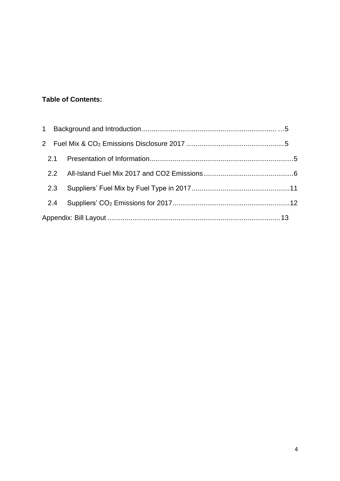## **Table of Contents:**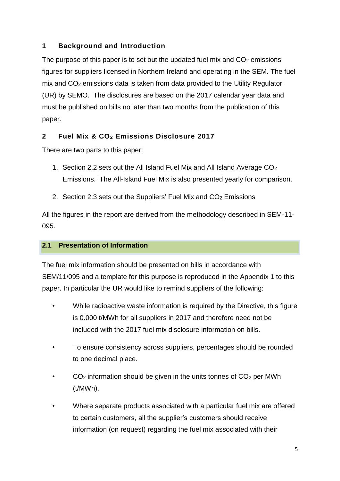## **1 Background and Introduction**

The purpose of this paper is to set out the updated fuel mix and  $CO<sub>2</sub>$  emissions figures for suppliers licensed in Northern Ireland and operating in the SEM. The fuel mix and CO<sup>2</sup> emissions data is taken from data provided to the Utility Regulator (UR) by SEMO. The disclosures are based on the 2017 calendar year data and must be published on bills no later than two months from the publication of this paper.

## **2 Fuel Mix & CO<sup>2</sup> Emissions Disclosure 2017**

There are two parts to this paper:

- 1. Section 2.2 sets out the All Island Fuel Mix and All Island Average CO<sub>2</sub> Emissions. The All-Island Fuel Mix is also presented yearly for comparison.
- 2. Section 2.3 sets out the Suppliers' Fuel Mix and  $CO<sub>2</sub>$  Emissions

All the figures in the report are derived from the methodology described in SEM-11- 095.

#### **2.1 Presentation of Information**

The fuel mix information should be presented on bills in accordance with SEM/11/095 and a template for this purpose is reproduced in the Appendix 1 to this paper. In particular the UR would like to remind suppliers of the following:

- While radioactive waste information is required by the Directive, this figure is 0.000 t/MWh for all suppliers in 2017 and therefore need not be included with the 2017 fuel mix disclosure information on bills.
- To ensure consistency across suppliers, percentages should be rounded to one decimal place.
- $CO<sub>2</sub>$  information should be given in the units tonnes of  $CO<sub>2</sub>$  per MWh (t/MWh).
- Where separate products associated with a particular fuel mix are offered to certain customers, all the supplier's customers should receive information (on request) regarding the fuel mix associated with their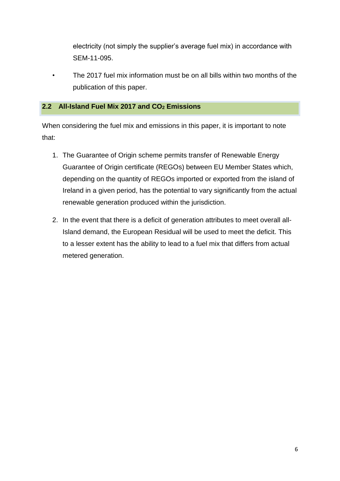electricity (not simply the supplier's average fuel mix) in accordance with SEM-11-095.

• The 2017 fuel mix information must be on all bills within two months of the publication of this paper.

#### **2.2 All-Island Fuel Mix 2017 and CO<sup>2</sup> Emissions**

When considering the fuel mix and emissions in this paper, it is important to note that:

- 1. The Guarantee of Origin scheme permits transfer of Renewable Energy Guarantee of Origin certificate (REGOs) between EU Member States which, depending on the quantity of REGOs imported or exported from the island of Ireland in a given period, has the potential to vary significantly from the actual renewable generation produced within the jurisdiction.
- 2. In the event that there is a deficit of generation attributes to meet overall all-Island demand, the European Residual will be used to meet the deficit. This to a lesser extent has the ability to lead to a fuel mix that differs from actual metered generation.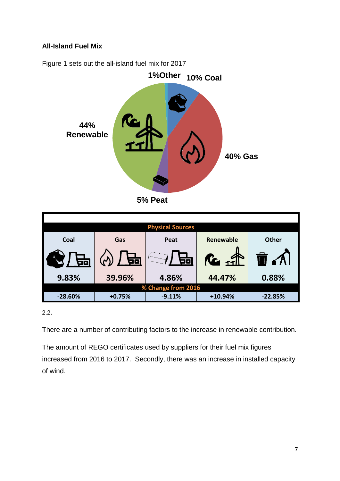#### **All-Island Fuel Mix**



Figure 1 sets out the all-island fuel mix for 2017

**5% Peat**

|                    | <b>Physical Sources</b> |          |                                           |              |  |  |  |  |
|--------------------|-------------------------|----------|-------------------------------------------|--------------|--|--|--|--|
| Coal               | Gas                     | Peat     | <b>Renewable</b>                          | <b>Other</b> |  |  |  |  |
| 区】 畀               | 무<br>$(\gamma)$         | 50)      | $\mathcal{R}_{\mathcal{L}}$ $\mathcal{R}$ | 'A I         |  |  |  |  |
| 9.83%              | 39.96%                  | 4.86%    | 44.47%                                    | 0.88%        |  |  |  |  |
| % Change from 2016 |                         |          |                                           |              |  |  |  |  |
| $-28.60%$          | $+0.75%$                | $-9.11%$ | $+10.94%$                                 | $-22.85%$    |  |  |  |  |

2.2.

There are a number of contributing factors to the increase in renewable contribution.

The amount of REGO certificates used by suppliers for their fuel mix figures increased from 2016 to 2017. Secondly, there was an increase in installed capacity of wind.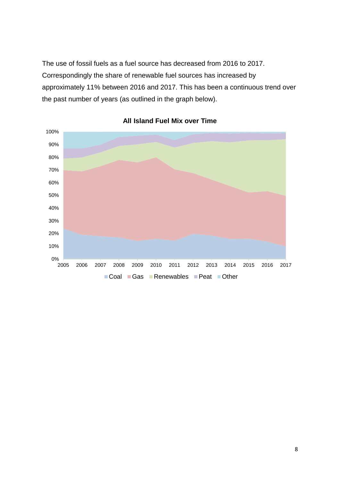The use of fossil fuels as a fuel source has decreased from 2016 to 2017. Correspondingly the share of renewable fuel sources has increased by approximately 11% between 2016 and 2017. This has been a continuous trend over the past number of years (as outlined in the graph below).



**All Island Fuel Mix over Time**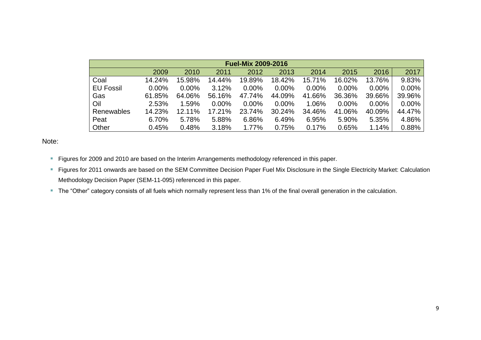| <b>Fuel-Mix 2009-2016</b> |          |          |        |        |          |        |        |          |          |
|---------------------------|----------|----------|--------|--------|----------|--------|--------|----------|----------|
|                           | 2009     | 2010     | 2011   | 2012   | 2013     | 2014   | 2015   | 2016     | 2017     |
| Coal                      | 14.24%   | 15.98%   | 14.44% | 19.89% | 18.42%   | 15.71% | 16.02% | 13.76%   | 9.83%    |
| <b>EU Fossil</b>          | $0.00\%$ | $0.00\%$ | 3.12%  | 0.00%  | $0.00\%$ | 0.00%  | 0.00%  | $0.00\%$ | $0.00\%$ |
| Gas                       | 61.85%   | 64.06%   | 56.16% | 47.74% | 44.09%   | 41.66% | 36.36% | 39.66%   | 39.96%   |
| Oil                       | 2.53%    | 1.59%    | 0.00%  | 0.00%  | $0.00\%$ | 1.06%  | 0.00%  | $0.00\%$ | $0.00\%$ |
| Renewables                | 14.23%   | 12.11%   | 17.21% | 23.74% | 30.24%   | 34.46% | 41.06% | 40.09%   | 44.47%   |
| Peat                      | 6.70%    | 5.78%    | 5.88%  | 6.86%  | 6.49%    | 6.95%  | 5.90%  | 5.35%    | 4.86%    |
| Other                     | 0.45%    | 0.48%    | 3.18%  | 1.77%  | 0.75%    | 0.17%  | 0.65%  | 1.14%    | 0.88%    |

Note:

- Figures for 2009 and 2010 are based on the Interim Arrangements methodology referenced in this paper.
- F Figures for 2011 onwards are based on the SEM Committee Decision Paper Fuel Mix Disclosure in the Single Electricity Market: Calculation Methodology Decision Paper (SEM-11-095) referenced in this paper.
- The "Other" category consists of all fuels which normally represent less than 1% of the final overall generation in the calculation.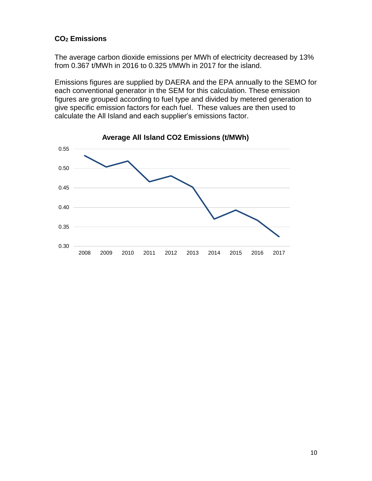#### **CO<sup>2</sup> Emissions**

The average carbon dioxide emissions per MWh of electricity decreased by 13% from 0.367 t/MWh in 2016 to 0.325 t/MWh in 2017 for the island.

Emissions figures are supplied by DAERA and the EPA annually to the SEMO for each conventional generator in the SEM for this calculation. These emission figures are grouped according to fuel type and divided by metered generation to give specific emission factors for each fuel. These values are then used to calculate the All Island and each supplier's emissions factor.

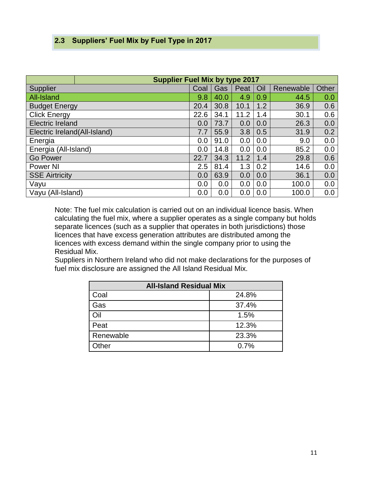#### **2.3 Suppliers' Fuel Mix by Fuel Type in 2017**

|                              | <b>Supplier Fuel Mix by type 2017</b> |      |      |      |       |           |       |
|------------------------------|---------------------------------------|------|------|------|-------|-----------|-------|
| Supplier                     |                                       | Coal | Gas  | Peat | Oil   | Renewable | Other |
| All-Island                   |                                       | 9.8  | 40.0 | 4.9  | 0.9   | 44.5      | 0.0   |
| <b>Budget Energy</b>         |                                       | 20.4 | 30.8 | 10.1 | 1.2   | 36.9      | 0.6   |
| <b>Click Energy</b>          |                                       | 22.6 | 34.1 | 11.2 | 1.4   | 30.1      | 0.6   |
| <b>Electric Ireland</b>      |                                       | 0.0  | 73.7 | 0.0  | 0.0   | 26.3      | 0.0   |
| Electric Ireland(All-Island) |                                       | 7.7  | 55.9 | 3.8  | 0.5   | 31.9      | 0.2   |
| Energia                      |                                       | 0.0  | 91.0 | 0.0  | 0.0   | 9.0       | 0.0   |
| Energia (All-Island)         |                                       | 0.0  | 14.8 | 0.0  | 0.0   | 85.2      | 0.0   |
| <b>Go Power</b>              | 22.7                                  | 34.3 | 11.2 | 1.4  | 29.8  | 0.6       |       |
| <b>Power NI</b>              | 2.5                                   | 81.4 | 1.3  | 0.2  | 14.6  | 0.0       |       |
| <b>SSE Airtricity</b>        | 0.0                                   | 63.9 | 0.0  | 0.0  | 36.1  | 0.0       |       |
| Vayu                         | 0.0                                   | 0.0  | 0.0  | 0.0  | 100.0 | 0.0       |       |
| Vayu (All-Island)            | 0.0                                   | 0.0  | 0.0  | 0.0  | 100.0 | 0.0       |       |

Note: The fuel mix calculation is carried out on an individual licence basis. When calculating the fuel mix, where a supplier operates as a single company but holds separate licences (such as a supplier that operates in both jurisdictions) those licences that have excess generation attributes are distributed among the licences with excess demand within the single company prior to using the Residual Mix.

Suppliers in Northern Ireland who did not make declarations for the purposes of fuel mix disclosure are assigned the All Island Residual Mix.

| <b>All-Island Residual Mix</b> |       |  |  |  |
|--------------------------------|-------|--|--|--|
| Coal                           | 24.8% |  |  |  |
| Gas                            | 37.4% |  |  |  |
| Oil                            | 1.5%  |  |  |  |
| $P$ eat                        | 12.3% |  |  |  |
| Renewable                      | 23.3% |  |  |  |
| Other                          | 0.7%  |  |  |  |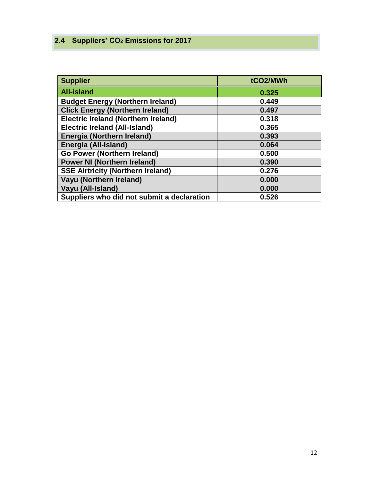## **2.4 Suppliers' CO<sup>2</sup> Emissions for 2017**

| <b>Supplier</b>                            | tCO2/MWh |
|--------------------------------------------|----------|
| <b>All-island</b>                          | 0.325    |
| <b>Budget Energy (Northern Ireland)</b>    | 0.449    |
| <b>Click Energy (Northern Ireland)</b>     | 0.497    |
| <b>Electric Ireland (Northern Ireland)</b> | 0.318    |
| <b>Electric Ireland (All-Island)</b>       | 0.365    |
| <b>Energia (Northern Ireland)</b>          | 0.393    |
| Energia (All-Island)                       | 0.064    |
| <b>Go Power (Northern Ireland)</b>         | 0.500    |
| <b>Power NI (Northern Ireland)</b>         | 0.390    |
| <b>SSE Airtricity (Northern Ireland)</b>   | 0.276    |
| Vayu (Northern Ireland)                    | 0.000    |
| Vayu (All-Island)                          | 0.000    |
| Suppliers who did not submit a declaration | 0.526    |